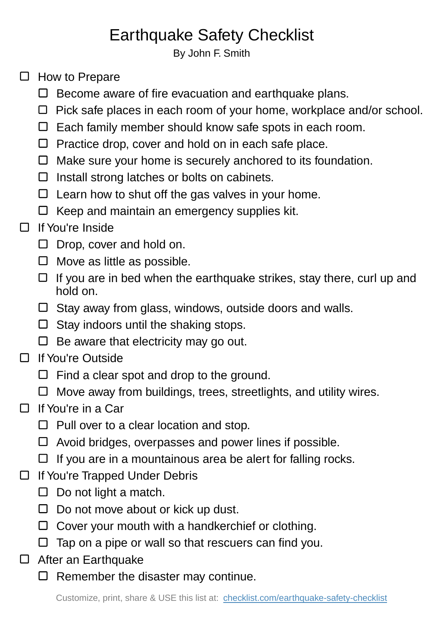## Earthquake Safety Checklist

By John F. Smith

- $\Box$  How to Prepare
	- $\square$  Become aware of fire evacuation and earthquake plans.
	- $\Box$  Pick safe places in each room of your home, workplace and/or school.
	- $\Box$  Each family member should know safe spots in each room.
	- $\Box$  Practice drop, cover and hold on in each safe place.
	- $\Box$  Make sure your home is securely anchored to its foundation.
	- $\Box$  Install strong latches or bolts on cabinets.
	- $\Box$  Learn how to shut off the gas valves in your home.
	- $\Box$  Keep and maintain an emergency supplies kit.

## $\Box$  If You're Inside

- $\Box$  Drop, cover and hold on.
- $\Box$  Move as little as possible.
- $\Box$  If you are in bed when the earthquake strikes, stay there, curl up and hold on.
- $\Box$  Stay away from glass, windows, outside doors and walls.
- $\Box$  Stay indoors until the shaking stops.
- $\Box$  Be aware that electricity may go out.
- □ If You're Outside
	- $\Box$  Find a clear spot and drop to the ground.
	- $\Box$  Move away from buildings, trees, streetlights, and utility wires.
- $\Box$  If You're in a Car
	- $\Box$  Pull over to a clear location and stop.
	- $\Box$  Avoid bridges, overpasses and power lines if possible.
	- $\Box$  If you are in a mountainous area be alert for falling rocks.
- □ If You're Trapped Under Debris
	- $\Box$  Do not light a match.
	- $\Box$  Do not move about or kick up dust.
	- $\Box$  Cover your mouth with a handkerchief or clothing.
	- $\Box$  Tap on a pipe or wall so that rescuers can find you.
- □ After an Earthquake
	- $\Box$  Remember the disaster may continue.